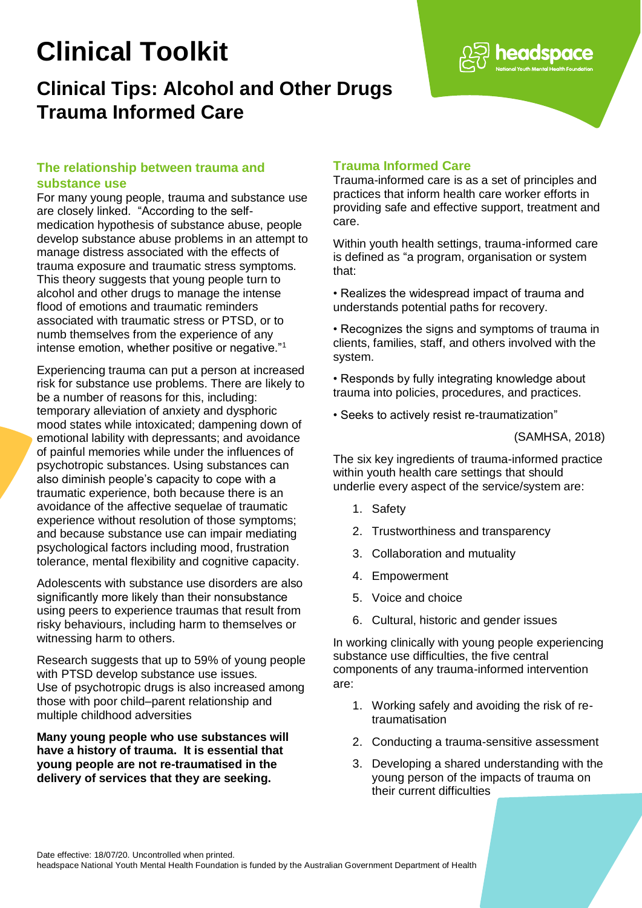# **Clinical Toolkit**

## **Clinical Tips: Alcohol and Other Drugs Trauma Informed Care**

#### **The relationship between trauma and substance use**

For many young people, trauma and substance use are closely linked. "According to the selfmedication hypothesis of substance abuse, people develop substance abuse problems in an attempt to manage distress associated with the effects of trauma exposure and traumatic stress symptoms. This theory suggests that young people turn to alcohol and other drugs to manage the intense flood of emotions and traumatic reminders associated with traumatic stress or PTSD, or to numb themselves from the experience of any intense emotion, whether positive or negative."<sup>1</sup>

Experiencing trauma can put a person at increased risk for substance use problems. There are likely to be a number of reasons for this, including: temporary alleviation of anxiety and dysphoric mood states while intoxicated; dampening down of emotional lability with depressants; and avoidance of painful memories while under the influences of psychotropic substances. Using substances can also diminish people's capacity to cope with a traumatic experience, both because there is an avoidance of the affective sequelae of traumatic experience without resolution of those symptoms; and because substance use can impair mediating psychological factors including mood, frustration tolerance, mental flexibility and cognitive capacity.

Adolescents with substance use disorders are also significantly more likely than their nonsubstance using peers to experience traumas that result from risky behaviours, including harm to themselves or witnessing harm to others.

Research suggests that up to 59% of young people with PTSD develop substance use issues. Use of psychotropic drugs is also increased among those with poor child–parent relationship and multiple childhood adversities

**Many young people who use substances will have a history of trauma. It is essential that young people are not re-traumatised in the delivery of services that they are seeking.**

### **Trauma Informed Care**

Trauma-informed care is as a set of principles and practices that inform health care worker efforts in providing safe and effective support, treatment and care.

Within youth health settings, trauma-informed care is defined as "a program, organisation or system that:

- Realizes the widespread impact of trauma and understands potential paths for recovery.
- Recognizes the signs and symptoms of trauma in clients, families, staff, and others involved with the system.

• Responds by fully integrating knowledge about trauma into policies, procedures, and practices.

• Seeks to actively resist re-traumatization"

(SAMHSA, 2018)

headspace

The six key ingredients of trauma-informed practice within youth health care settings that should underlie every aspect of the service/system are:

- 1. Safety
- 2. Trustworthiness and transparency
- 3. Collaboration and mutuality
- 4. Empowerment
- 5. Voice and choice
- 6. Cultural, historic and gender issues

In working clinically with young people experiencing substance use difficulties, the five central components of any trauma-informed intervention are:

- 1. Working safely and avoiding the risk of retraumatisation
- 2. Conducting a trauma-sensitive assessment
- 3. Developing a shared understanding with the young person of the impacts of trauma on their current difficulties